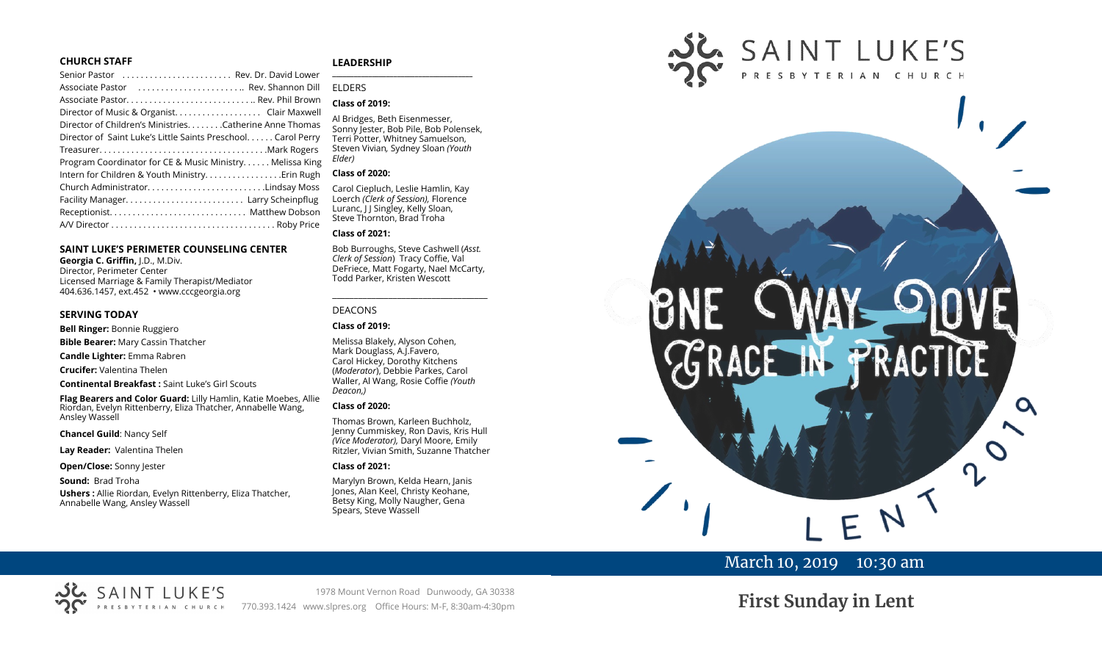#### **CHURCH STAFF**

| Senior Pastor  Rev. Dr. David Lower                           |
|---------------------------------------------------------------|
| Associate Pastor  Rev. Shannon Dill                           |
| Associate Pastor Rev. Phil Brown                              |
| Director of Music & Organist. Clair Maxwell                   |
| Director of Children's Ministries. Catherine Anne Thomas      |
| Director of Saint Luke's Little Saints Preschool. Carol Perry |
|                                                               |
| Program Coordinator for CE & Music Ministry Melissa King      |
| Intern for Children & Youth Ministry. Erin Rugh               |
| Church AdministratorLindsay Moss                              |
|                                                               |
|                                                               |
|                                                               |

#### **SAINT LUKE'S PERIMETER COUNSELING CENTER**

**Georgia C. Griffin,** J.D., M.Div. Director, Perimeter Center Licensed Marriage & Family Therapist/Mediator 404.636.1457, ext.452 • www.cccgeorgia.org

#### **SERVING TODAY**

**Bell Ringer:** Bonnie Ruggiero

**Bible Bearer:** Mary Cassin Thatcher

**Candle Lighter:** Emma Rabren

**Crucifer:** Valentina Thelen

**Continental Breakfast :** Saint Luke's Girl Scouts

**Flag Bearers and Color Guard:** Lilly Hamlin, Katie Moebes, Allie Riordan, Evelyn Rittenberry, Eliza Thatcher, Annabelle Wang, Ansley Wassell

#### **Chancel Guild**: Nancy Self

**Lay Reader:** Valentina Thelen

SAINT LUKE'S

**Open/Close:** Sonny Jester

**Sound:** Brad Troha

**Ushers :** Allie Riordan, Evelyn Rittenberry, Eliza Thatcher, Annabelle Wang, Ansley Wassell

#### **LEADERSHIP**

#### ELDERS

#### **Class of 2019:**

Al Bridges, Beth Eisenmesser, Sonny Jester, Bob Pile, Bob Polensek, Terri Potter, Whitney Samuelson, Steven Vivian*,* Sydney Sloan *(Youth Elder)*

**\_\_\_\_\_\_\_\_\_\_\_\_\_\_\_\_\_\_\_\_\_\_\_\_\_\_\_\_\_\_\_\_\_\_\_\_\_\_\_**

#### **Class of 2020:**

Carol Ciepluch, Leslie Hamlin, Kay Loerch *(Clerk of Session),* Florence Luranc, J J Singley, Kelly Sloan, Steve Thornton, Brad Troha

#### **Class of 2021:**

Bob Burroughs, Steve Cashwell (*Asst. Clerk of Session*) Tracy Coffie, Val DeFriece, Matt Fogarty, Nael McCarty, Todd Parker, Kristen Wescott

\_\_\_\_\_\_\_\_\_\_\_\_\_\_\_\_\_\_\_\_\_\_\_\_\_\_\_\_\_\_\_\_\_\_\_\_

#### DEACONS

#### **Class of 2019:**

Melissa Blakely, Alyson Cohen, Mark Douglass, A.J.Favero, Carol Hickey, Dorothy Kitchens (*Moderator*), Debbie Parkes, Carol Waller, Al Wang, Rosie Coffie *(Youth Deacon,)* 

#### **Class of 2020:**

Thomas Brown, Karleen Buchholz, Jenny Cummiskey, Ron Davis, Kris Hull *(Vice Moderator),* Daryl Moore, Emily Ritzler, Vivian Smith, Suzanne Thatcher

#### **Class of 2021:**

Marylyn Brown, Kelda Hearn, Janis Jones, Alan Keel, Christy Keohane, Betsy King, Molly Naugher, Gena Spears, Steve Wassell



## March 10, 2019 10:30 am

# **First Sunday in Lent**

1978 Mount Vernon Road Dunwoody, GA 30338 770.393.1424 www.slpres.org Office Hours: M-F, 8:30am-4:30pm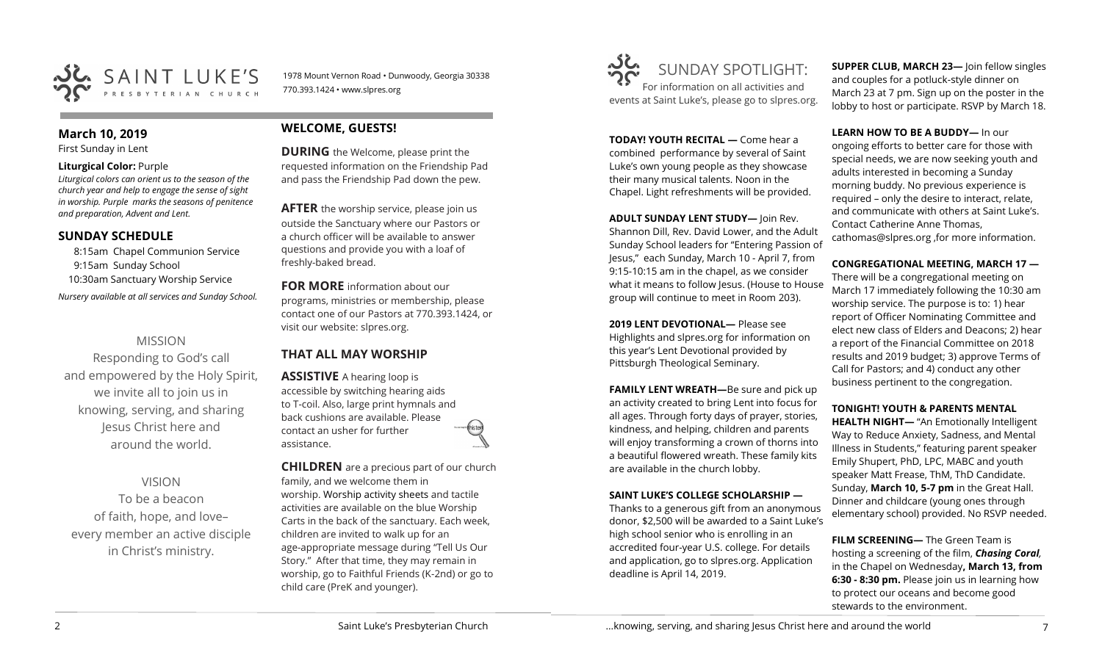

### **March 10, 2019**

First Sunday in Lent

#### **Liturgical Color:** Purple

*Liturgical colors can orient us to the season of the church year and help to engage the sense of sight in worship. Purple marks the seasons of penitence and preparation, Advent and Lent.*

## **SUNDAY SCHEDULE**

8:15am Chapel Communion Service 9:15am Sunday School 10:30am Sanctuary Worship Service *Nursery available at all services and Sunday School.* 

## MISSION

Responding to God's call and empowered by the Holy Spirit, we invite all to join us in knowing, serving, and sharing Jesus Christ here and around the world.

## VISION

To be a beacon of faith, hope, and love– every member an active disciple in Christ's ministry.

## **WELCOME, GUESTS!**

770.393.1424 • www.slpres.org

**DURING** the Welcome, please print the requested information on the Friendship Pad and pass the Friendship Pad down the pew.

1978 Mount Vernon Road • Dunwoody, Georgia 30338

**AFTER** the worship service, please join us outside the Sanctuary where our Pastors or a church officer will be available to answer questions and provide you with a loaf of freshly-baked bread.

**FOR MORE** information about our programs, ministries or membership, please contact one of our Pastors at 770.393.1424, or visit our website: slpres.org.

## **THAT ALL MAY WORSHIP**

**ASSISTIVE** A hearing loop is accessible by switching hearing aids to T-coil. Also, large print hymnals and back cushions are available. Please contact an usher for further assistance.

**CHILDREN** are a precious part of our church family, and we welcome them in worship. Worship activity sheets and tactile activities are available on the blue Worship Carts in the back of the sanctuary. Each week, children are invited to walk up for an age-appropriate message during "Tell Us Our Story." After that time, they may remain in worship, go to Faithful Friends (K-2nd) or go to child care (PreK and younger).



**TODAY! YOUTH RECITAL —** Come hear a combined performance by several of Saint Luke's own young people as they showcase their many musical talents. Noon in the Chapel. Light refreshments will be provided.

**ADULT SUNDAY LENT STUDY—** Join Rev.

Shannon Dill, Rev. David Lower, and the Adult Sunday School leaders for "Entering Passion of Jesus," each Sunday, March 10 - April 7, from 9:15-10:15 am in the chapel, as we consider what it means to follow Jesus. (House to House group will continue to meet in Room 203).

**2019 LENT DEVOTIONAL—** Please see Highlights and slpres.org for information on this year's Lent Devotional provided by Pittsburgh Theological Seminary.

**FAMILY LENT WREATH—**Be sure and pick up an activity created to bring Lent into focus for all ages. Through forty days of prayer, stories, kindness, and helping, children and parents will enjoy transforming a crown of thorns into a beautiful flowered wreath. These family kits are available in the church lobby.

## **SAINT LUKE'S COLLEGE SCHOLARSHIP —**

Thanks to a generous gift from an anonymous donor, \$2,500 will be awarded to a Saint Luke's high school senior who is enrolling in an accredited four-year U.S. college. For details and application, go to slpres.org. Application deadline is April 14, 2019.

**SUPPER CLUB, MARCH 23—** Join fellow singles and couples for a potluck-style dinner on March 23 at 7 pm. Sign up on the poster in the lobby to host or participate. RSVP by March 18.

**LEARN HOW TO BE A BUDDY—** In our ongoing efforts to better care for those with special needs, we are now seeking youth and adults interested in becoming a Sunday morning buddy. No previous experience is required – only the desire to interact, relate, and communicate with others at Saint Luke's. Contact Catherine Anne Thomas, cathomas@slpres.org ,for more information.

**CONGREGATIONAL MEETING, MARCH 17 —**

There will be a congregational meeting on March 17 immediately following the 10:30 am worship service. The purpose is to: 1) hear report of Officer Nominating Committee and elect new class of Elders and Deacons; 2) hear a report of the Financial Committee on 2018 results and 2019 budget; 3) approve Terms of Call for Pastors; and 4) conduct any other business pertinent to the congregation.

## **TONIGHT! YOUTH & PARENTS MENTAL**

**HEALTH NIGHT—** "An Emotionally Intelligent Way to Reduce Anxiety, Sadness, and Mental Illness in Students," featuring parent speaker Emily Shupert, PhD, LPC, MABC and youth speaker Matt Frease, ThM, ThD Candidate. Sunday, **March 10, 5-7 pm** in the Great Hall. Dinner and childcare (young ones through elementary school) provided. No RSVP needed.

**FILM SCREENING—** The Green Team is hosting a screening of the film, *Chasing Coral,* in the Chapel on Wednesday**, March 13, from 6:30 - 8:30 pm.** Please join us in learning how to protect our oceans and become good stewards to the environment.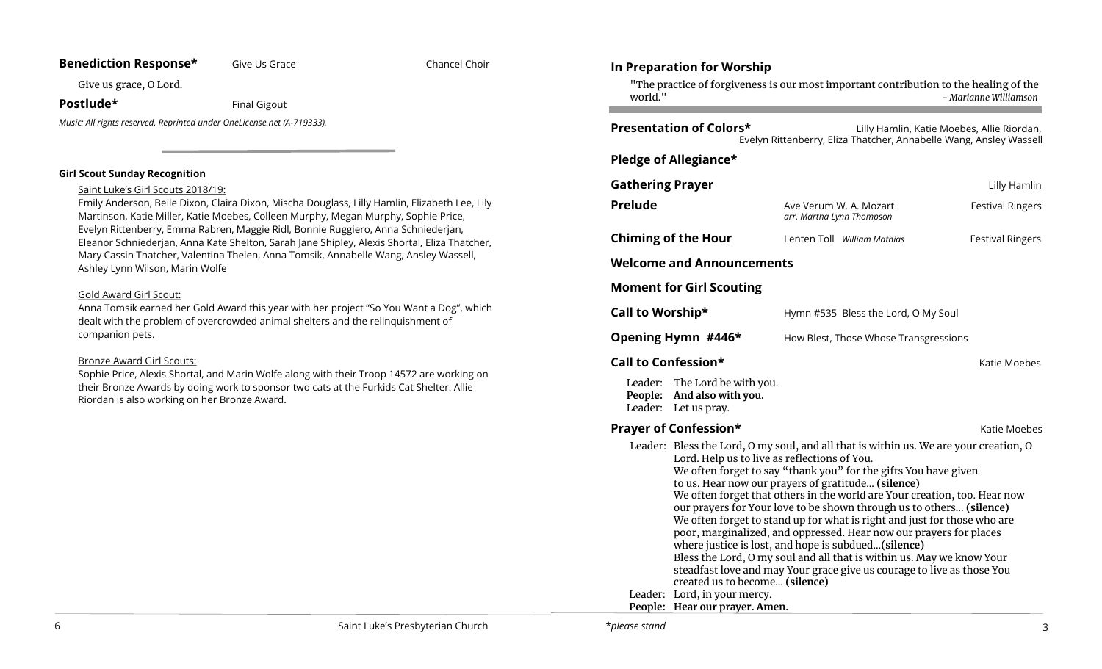## **Benediction Response\*** Give Us Grace **Chancel Chancel Choir**

Give us grace, O Lord.

**Postlude\*** Final Gigout

*Music: All rights reserved. Reprinted under OneLicense.net (A-719333).* 

#### **Girl Scout Sunday Recognition**

#### Saint Luke's Girl Scouts 2018/19:

Emily Anderson, Belle Dixon, Claira Dixon, Mischa Douglass, Lilly Hamlin, Elizabeth Lee, Lily Martinson, Katie Miller, Katie Moebes, Colleen Murphy, Megan Murphy, Sophie Price, Evelyn Rittenberry, Emma Rabren, Maggie Ridl, Bonnie Ruggiero, Anna Schniederjan, Eleanor Schniederjan, Anna Kate Shelton, Sarah Jane Shipley, Alexis Shortal, Eliza Thatcher, Mary Cassin Thatcher, Valentina Thelen, Anna Tomsik, Annabelle Wang, Ansley Wassell, Ashley Lynn Wilson, Marin Wolfe

## Gold Award Girl Scout:

Anna Tomsik earned her Gold Award this year with her project "So You Want a Dog", which dealt with the problem of overcrowded animal shelters and the relinquishment of companion pets.

## Bronze Award Girl Scouts:

Sophie Price, Alexis Shortal, and Marin Wolfe along with their Troop 14572 are working on their Bronze Awards by doing work to sponsor two cats at the Furkids Cat Shelter. Allie Riordan is also working on her Bronze Award.

## **In Preparation for Worship**  "The practice of forgiveness is our most important contribution to the healing of the world." **-** *Marianne Williamson* **Presentation of Colors\* Lilly Hamlin, Katie Moebes, Allie Riordan,** Evelyn Rittenberry, Eliza Thatcher, Annabelle Wang, Ansley Wassell **Pledge of Allegiance\* Gathering Prayer Contract Contract Contract Contract Contract Contract Contract Contract Contract Contract Contract Contract Contract Contract Contract Contract Contract Contract Contract Contract Contract Contract Cont Prelude Ave Verum W. A. Mozart** Festival Ringers *arr. Martha Lynn Thompson* **Chiming of the Hour** Lenten Toll *William Mathias* **Festival Ringers Welcome and Announcements Moment for Girl Scouting Call to Worship\* Hymn #535 Bless the Lord, O My Soul Opening Hymn #446\*** How Blest, Those Whose Transgressions **Call to Confession\* Call to Confession\*** Leader: The Lord be with you. **People: And also with you.**  Leader: Let us pray. **Prayer of Confession\*** The Constantine Matter Moebes Assembly Matter Moebes Assembly Matter Moebes Assembly Matter Mo Leader: Bless the Lord, O my soul, and all that is within us. We are your creation, O Lord. Help us to live as reflections of You. We often forget to say "thank you" for the gifts You have given to us. Hear now our prayers of gratitude... **(silence)**  We often forget that others in the world are Your creation, too. Hear now our prayers for Your love to be shown through us to others... **(silence)** We often forget to stand up for what is right and just for those who are poor, marginalized, and oppressed. Hear now our prayers for places where justice is lost, and hope is subdued...**(silence)** Bless the Lord, O my soul and all that is within us. May we know Your steadfast love and may Your grace give us courage to live as those You created us to become... **(silence)** Leader: Lord, in your mercy. **People: Hear our prayer. Amen.**